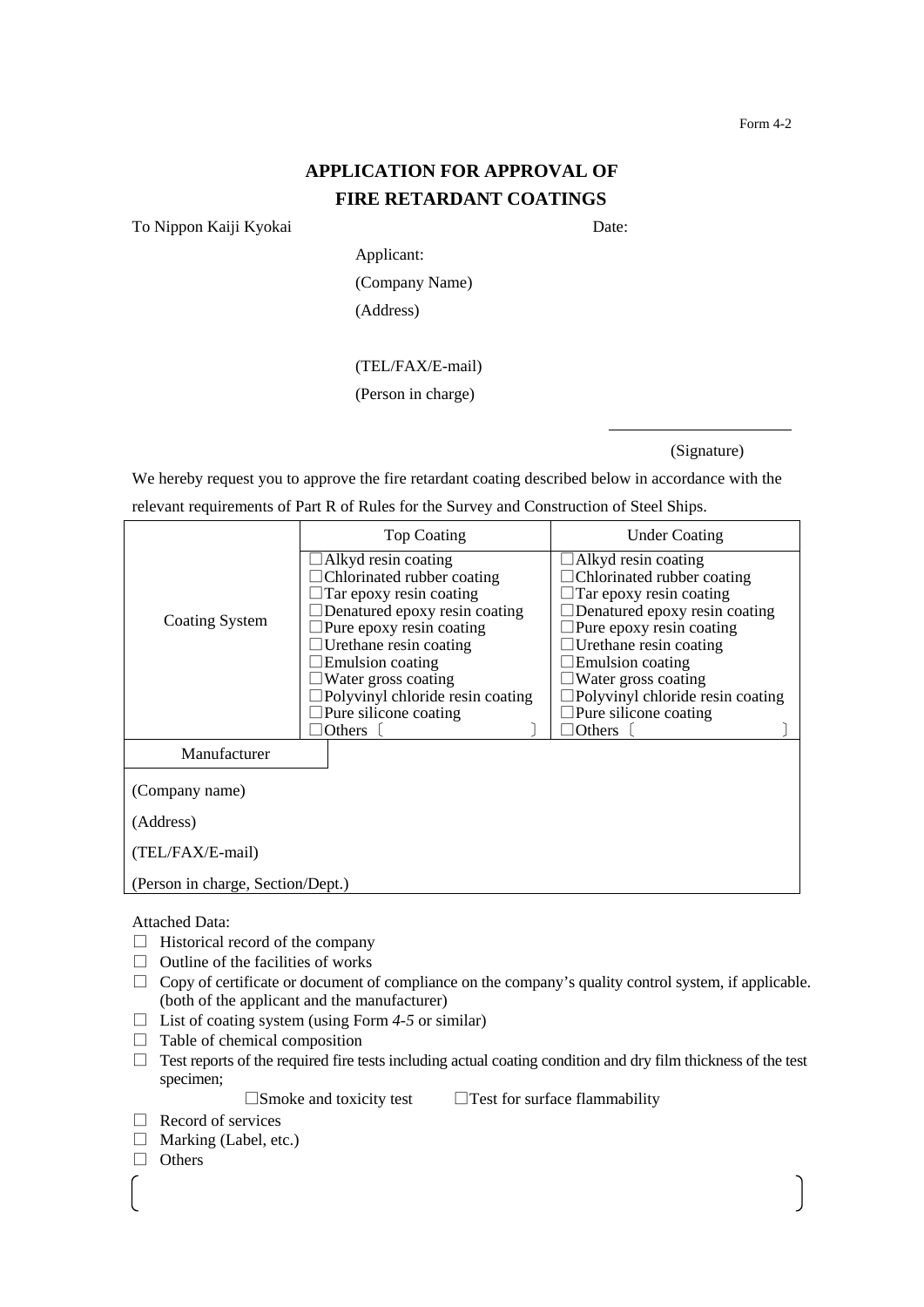## **APPLICATION FOR APPROVAL OF FIRE RETARDANT COATINGS**

To Nippon Kaiji Kyokai Date:

Applicant: (Company Name) (Address)

## (TEL/FAX/E-mail)

(Person in charge)

(Signature)

We hereby request you to approve the fire retardant coating described below in accordance with the

|  | relevant requirements of Part R of Rules for the Survey and Construction of Steel Ships. |  |
|--|------------------------------------------------------------------------------------------|--|
|  |                                                                                          |  |

|                                   | <b>Top Coating</b>                                    | <b>Under Coating</b>                                                |  |
|-----------------------------------|-------------------------------------------------------|---------------------------------------------------------------------|--|
|                                   | $\Box$ Alkyd resin coating                            | $\Box$ Alkyd resin coating                                          |  |
|                                   | Chlorinated rubber coating<br>Tar epoxy resin coating | $\Box$ Chlorinated rubber coating<br>$\Box$ Tar epoxy resin coating |  |
|                                   | Denatured epoxy resin coating                         | Denatured epoxy resin coating                                       |  |
| Coating System                    | Pure epoxy resin coating                              | $\exists$ Pure epoxy resin coating                                  |  |
|                                   | Urethane resin coating                                | $\Box$ Urethane resin coating                                       |  |
|                                   | Emulsion coating                                      | $\Box$ Emulsion coating                                             |  |
|                                   | $\exists$ Water gross coating                         | $\Box$ Water gross coating                                          |  |
|                                   | Polyvinyl chloride resin coating                      | $\Box$ Polyvinyl chloride resin coating                             |  |
|                                   | $\Box$ Pure silicone coating                          | $\Box$ Pure silicone coating                                        |  |
|                                   | Others                                                | $\exists$ Others                                                    |  |
| Manufacturer                      |                                                       |                                                                     |  |
| (Company name)                    |                                                       |                                                                     |  |
| (Address)                         |                                                       |                                                                     |  |
| (TEL/FAX/E-mail)                  |                                                       |                                                                     |  |
| (Person in charge, Section/Dept.) |                                                       |                                                                     |  |

Attached Data:

- $\Box$  Historical record of the company
- $\Box$  Outline of the facilities of works
- $\Box$  Copy of certificate or document of compliance on the company's quality control system, if applicable. (both of the applicant and the manufacturer)
- □ List of coating system (using Form *4-5* or similar)
- $\Box$  Table of chemical composition
- $\Box$  Test reports of the required fire tests including actual coating condition and dry film thickness of the test specimen;

 $\square$ Smoke and toxicity test  $\square$  Test for surface flammability

- □ Record of services
- $\Box$  Marking (Label, etc.)
- □ Others